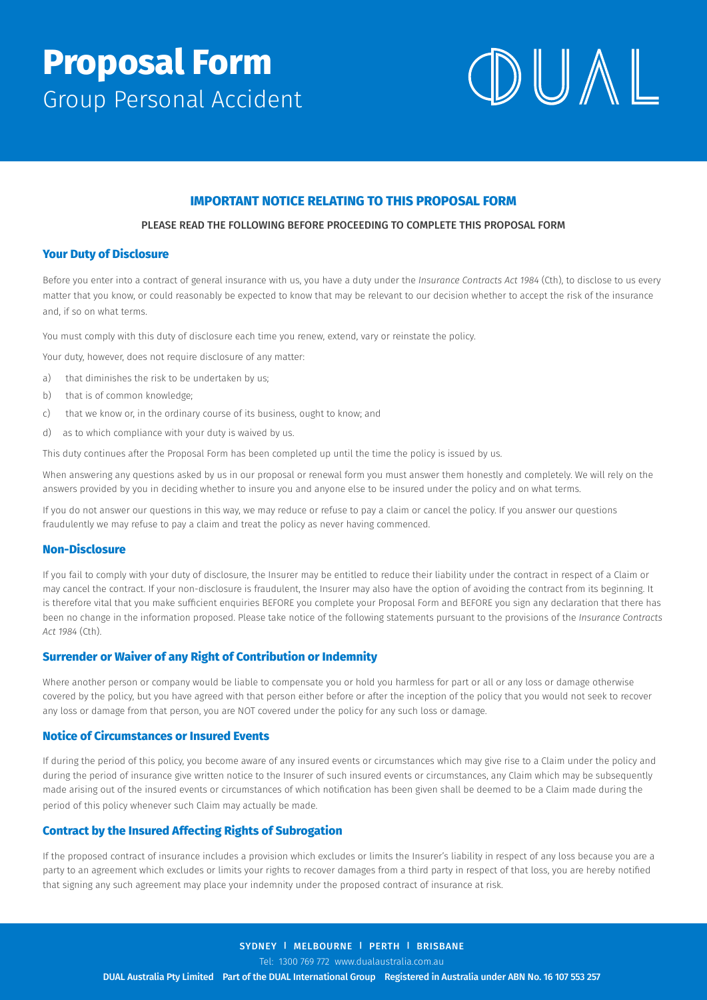# **Proposal Form** Group Personal Accident

# OUAL

# **IMPORTANT NOTICE RELATING TO THIS PROPOSAL FORM**

# PLEASE READ THE FOLLOWING BEFORE PROCEEDING TO COMPLETE THIS PROPOSAL FORM

# **Your Duty of Disclosure**

Before you enter into a contract of general insurance with us, you have a duty under the *Insurance Contracts Act 1984* (Cth), to disclose to us every matter that you know, or could reasonably be expected to know that may be relevant to our decision whether to accept the risk of the insurance and, if so on what terms.

You must comply with this duty of disclosure each time you renew, extend, vary or reinstate the policy.

Your duty, however, does not require disclosure of any matter:

- a) that diminishes the risk to be undertaken by us;
- b) that is of common knowledge;
- c) that we know or, in the ordinary course of its business, ought to know; and
- d) as to which compliance with your duty is waived by us.

This duty continues after the Proposal Form has been completed up until the time the policy is issued by us.

When answering any questions asked by us in our proposal or renewal form you must answer them honestly and completely. We will rely on the answers provided by you in deciding whether to insure you and anyone else to be insured under the policy and on what terms.

If you do not answer our questions in this way, we may reduce or refuse to pay a claim or cancel the policy. If you answer our questions fraudulently we may refuse to pay a claim and treat the policy as never having commenced.

#### **Non-Disclosure**

If you fail to comply with your duty of disclosure, the Insurer may be entitled to reduce their liability under the contract in respect of a Claim or may cancel the contract. If your non-disclosure is fraudulent, the Insurer may also have the option of avoiding the contract from its beginning. It is therefore vital that you make sufficient enquiries BEFORE you complete your Proposal Form and BEFORE you sign any declaration that there has been no change in the information proposed. Please take notice of the following statements pursuant to the provisions of the *Insurance Contracts Act 1984* (Cth).

# **Surrender or Waiver of any Right of Contribution or Indemnity**

Where another person or company would be liable to compensate you or hold you harmless for part or all or any loss or damage otherwise covered by the policy, but you have agreed with that person either before or after the inception of the policy that you would not seek to recover any loss or damage from that person, you are NOT covered under the policy for any such loss or damage.

# **Notice of Circumstances or Insured Events**

If during the period of this policy, you become aware of any insured events or circumstances which may give rise to a Claim under the policy and during the period of insurance give written notice to the Insurer of such insured events or circumstances, any Claim which may be subsequently made arising out of the insured events or circumstances of which notification has been given shall be deemed to be a Claim made during the period of this policy whenever such Claim may actually be made.

# **Contract by the Insured Affecting Rights of Subrogation**

If the proposed contract of insurance includes a provision which excludes or limits the Insurer's liability in respect of any loss because you are a party to an agreement which excludes or limits your rights to recover damages from a third party in respect of that loss, you are hereby notified that signing any such agreement may place your indemnity under the proposed contract of insurance at risk.

#### Proposal Form: Group Personal Accident Insurance DUAL Australia Pty Limited Part of the DUAL International Group Registered in Australia under ABN No. 16 107 553 257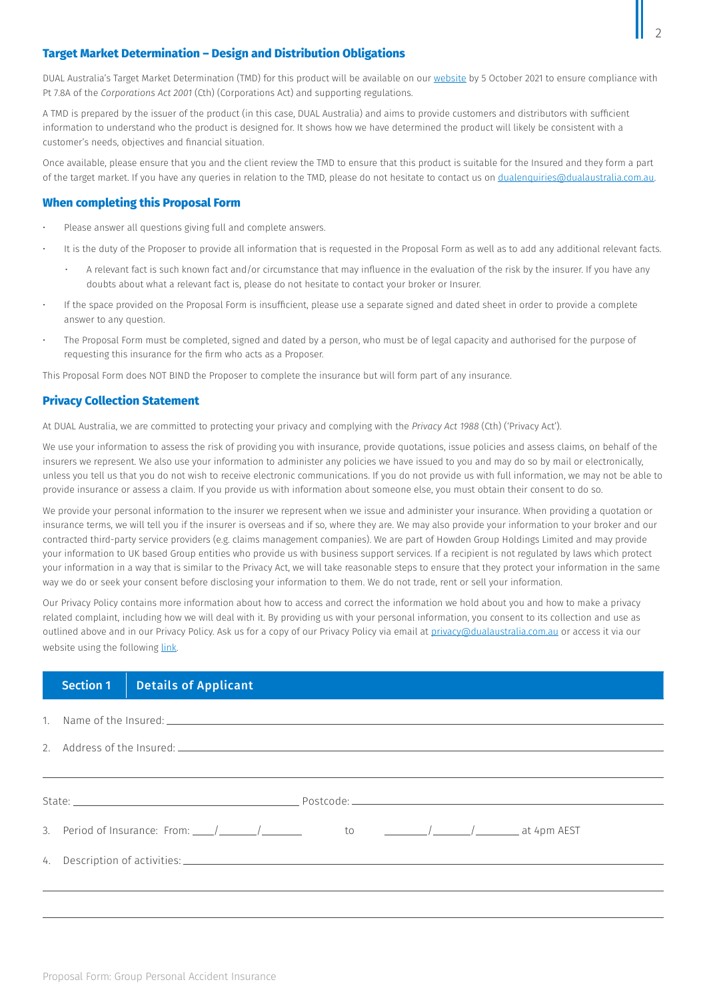**Target Market Determination – Design and Distribution Obligations** 

Pt 7.8A of the *Corporations Act 2001* (Cth) (Corporations Act) and supporting regulations.

A TMD is prepared by the issuer of the product (in this case, DUAL Australia) and aims to provide customers and distributors with sufficient information to understand who the product is designed for. It shows how we have determined the product will likely be consistent with a customer's needs, objectives and financial situation.

Once available, please ensure that you and the client review the TMD to ensure that this product is suitable for the Insured and they form a part of the target market. If you have any queries in relation to the TMD, please do not hesitate to contact us on [dualenquiries@dualaustralia.com.au.](mailto:dualenquiries@dualaustralia.com.au)

DUAL Australia's Target Market Determination (TMD) for this product will be available on our [website](https://www.dualaustralia.com.au/underwriting/accident-and-health) by 5 October 2021 to ensure compliance with

#### **When completing this Proposal Form**

- Please answer all questions giving full and complete answers.
- It is the duty of the Proposer to provide all information that is requested in the Proposal Form as well as to add any additional relevant facts.
	- A relevant fact is such known fact and/or circumstance that may influence in the evaluation of the risk by the insurer. If you have any doubts about what a relevant fact is, please do not hesitate to contact your broker or Insurer.
- If the space provided on the Proposal Form is insufficient, please use a separate signed and dated sheet in order to provide a complete answer to any question.
- The Proposal Form must be completed, signed and dated by a person, who must be of legal capacity and authorised for the purpose of requesting this insurance for the firm who acts as a Proposer.

This Proposal Form does NOT BIND the Proposer to complete the insurance but will form part of any insurance.

#### **Privacy Collection Statement**

At DUAL Australia, we are committed to protecting your privacy and complying with the *Privacy Act 1988* (Cth) ('Privacy Act').

We use your information to assess the risk of providing you with insurance, provide quotations, issue policies and assess claims, on behalf of the insurers we represent. We also use your information to administer any policies we have issued to you and may do so by mail or electronically, unless you tell us that you do not wish to receive electronic communications. If you do not provide us with full information, we may not be able to provide insurance or assess a claim. If you provide us with information about someone else, you must obtain their consent to do so.

We provide your personal information to the insurer we represent when we issue and administer your insurance. When providing a quotation or insurance terms, we will tell you if the insurer is overseas and if so, where they are. We may also provide your information to your broker and our contracted third-party service providers (e.g. claims management companies). We are part of Howden Group Holdings Limited and may provide your information to UK based Group entities who provide us with business support services. If a recipient is not regulated by laws which protect your information in a way that is similar to the Privacy Act, we will take reasonable steps to ensure that they protect your information in the same way we do or seek your consent before disclosing your information to them. We do not trade, rent or sell your information.

Our Privacy Policy contains more information about how to access and correct the information we hold about you and how to make a privacy related complaint, including how we will deal with it. By providing us with your personal information, you consent to its collection and use as outlined above and in our Privacy Policy. Ask us for a copy of our Privacy Policy via email at [privacy@dualaustralia.com.au](mailto:privacy@dualaustralia.com.au) or access it via our website using the following [link.](https://f.hubspotusercontent10.net/hubfs/2597761/DUAL Australia/AUS Assets/AUS Documents/AUS General Documents/DUAL-AUS-Privacy-Policy-09-20.pdf)

|  | <b>Section 1</b> | <b>Details of Applicant</b> |  |  |  |  |
|--|------------------|-----------------------------|--|--|--|--|
|  |                  |                             |  |  |  |  |
|  |                  |                             |  |  |  |  |
|  |                  |                             |  |  |  |  |
|  |                  |                             |  |  |  |  |
|  |                  |                             |  |  |  |  |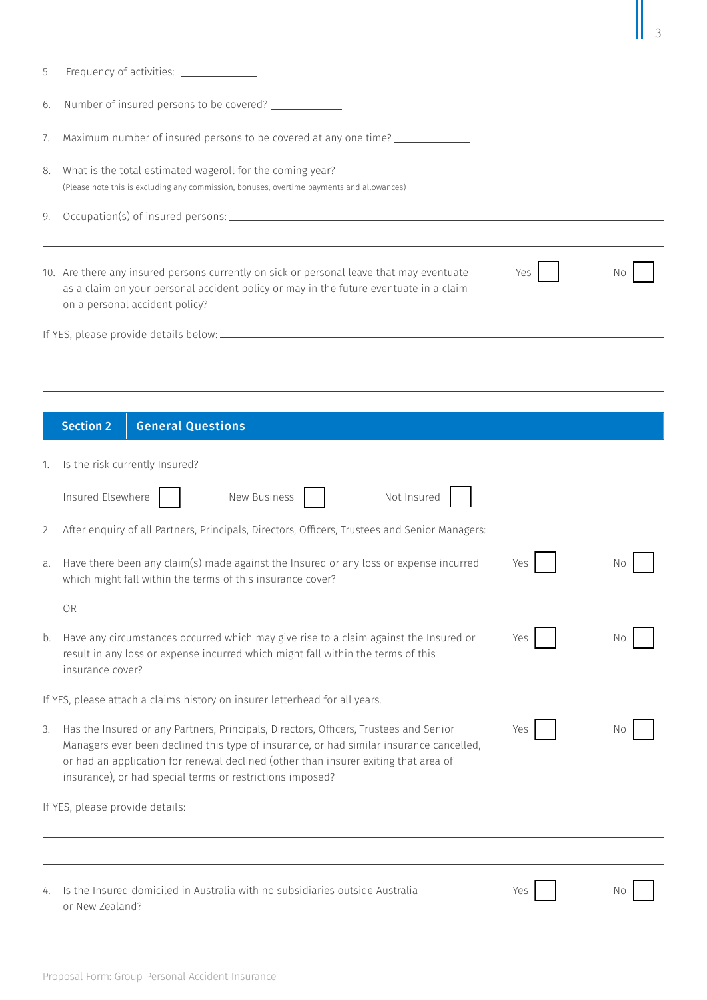| 5. | Frequency of activities: ______________                                                                                                                                                                                                                                                                                              |     |    |
|----|--------------------------------------------------------------------------------------------------------------------------------------------------------------------------------------------------------------------------------------------------------------------------------------------------------------------------------------|-----|----|
| 6. | Number of insured persons to be covered? _____________                                                                                                                                                                                                                                                                               |     |    |
| 7. | Maximum number of insured persons to be covered at any one time?                                                                                                                                                                                                                                                                     |     |    |
| 8. | What is the total estimated wageroll for the coming year? ______________________<br>(Please note this is excluding any commission, bonuses, overtime payments and allowances)                                                                                                                                                        |     |    |
| 9. |                                                                                                                                                                                                                                                                                                                                      |     |    |
|    | 10. Are there any insured persons currently on sick or personal leave that may eventuate<br>as a claim on your personal accident policy or may in the future eventuate in a claim<br>on a personal accident policy?                                                                                                                  | Yes |    |
|    |                                                                                                                                                                                                                                                                                                                                      |     |    |
|    |                                                                                                                                                                                                                                                                                                                                      |     |    |
|    |                                                                                                                                                                                                                                                                                                                                      |     |    |
|    | <b>General Questions</b><br><b>Section 2</b>                                                                                                                                                                                                                                                                                         |     |    |
| 1. | Is the risk currently Insured?                                                                                                                                                                                                                                                                                                       |     |    |
|    | Insured Elsewhere<br>New Business<br>Not Insured                                                                                                                                                                                                                                                                                     |     |    |
| 2. | After enquiry of all Partners, Principals, Directors, Officers, Trustees and Senior Managers:                                                                                                                                                                                                                                        |     |    |
| a. | Have there been any claim(s) made against the Insured or any loss or expense incurred<br>which might fall within the terms of this insurance cover?                                                                                                                                                                                  |     |    |
|    | <b>OR</b>                                                                                                                                                                                                                                                                                                                            |     |    |
| b. | Have any circumstances occurred which may give rise to a claim against the Insured or<br>result in any loss or expense incurred which might fall within the terms of this<br>insurance cover?                                                                                                                                        | Yes |    |
|    | If YES, please attach a claims history on insurer letterhead for all years.                                                                                                                                                                                                                                                          |     |    |
| 3. | Has the Insured or any Partners, Principals, Directors, Officers, Trustees and Senior<br>Managers ever been declined this type of insurance, or had similar insurance cancelled,<br>or had an application for renewal declined (other than insurer exiting that area of<br>insurance), or had special terms or restrictions imposed? | Yes | N0 |
|    |                                                                                                                                                                                                                                                                                                                                      |     |    |
|    |                                                                                                                                                                                                                                                                                                                                      |     |    |
| 4. | Is the Insured domiciled in Australia with no subsidiaries outside Australia<br>or New Zealand?                                                                                                                                                                                                                                      | Yes | Nο |

3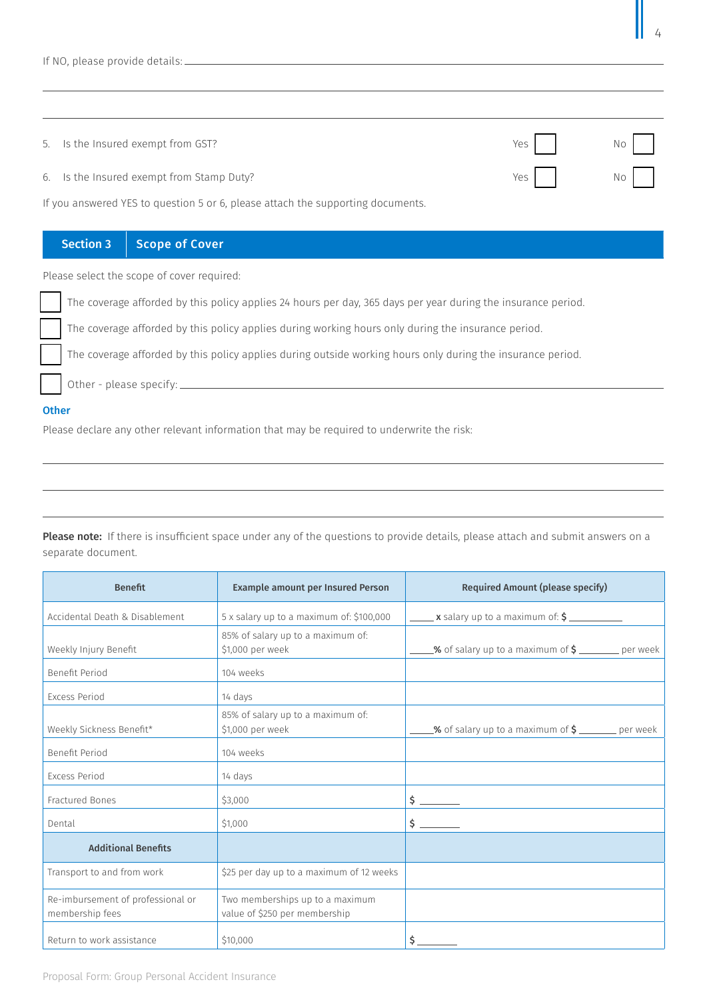| 5. Is the Insured exempt from GST?                                              | Yes No |  |
|---------------------------------------------------------------------------------|--------|--|
| 6. Is the Insured exempt from Stamp Duty?                                       | Yes No |  |
| If you answered YES to question 5 or 6, please attach the supporting documents. |        |  |

Section 3 | Scope of Cover

Please select the scope of cover required:

The coverage afforded by this policy applies 24 hours per day, 365 days per year during the insurance period.

The coverage afforded by this policy applies during working hours only during the insurance period.

The coverage afforded by this policy applies during outside working hours only during the insurance period.

[ ] Other - please specify:

# **Other**

Please declare any other relevant information that may be required to underwrite the risk:

Please note: If there is insufficient space under any of the questions to provide details, please attach and submit answers on a separate document.

| <b>Benefit</b>                                       | <b>Example amount per Insured Person</b>                         | <b>Required Amount (please specify)</b>                                     |
|------------------------------------------------------|------------------------------------------------------------------|-----------------------------------------------------------------------------|
| Accidental Death & Disablement                       | 5 x salary up to a maximum of: \$100,000                         | $\frac{1}{\sqrt{2}}$ x salary up to a maximum of: \$                        |
| Weekly Injury Benefit                                | 85% of salary up to a maximum of:<br>\$1,000 per week            | $\frac{1}{2}$ of salary up to a maximum of $\frac{1}{2}$ _________ per week |
| Benefit Period                                       | 104 weeks                                                        |                                                                             |
| Excess Period                                        | 14 days                                                          |                                                                             |
| Weekly Sickness Benefit*                             | 85% of salary up to a maximum of:<br>\$1,000 per week            | $\frac{1}{2}$ of salary up to a maximum of $\frac{1}{2}$ _________ per week |
| Benefit Period                                       | 104 weeks                                                        |                                                                             |
| Excess Period                                        | 14 days                                                          |                                                                             |
| Fractured Bones                                      | \$3,000                                                          |                                                                             |
| Dental                                               | \$1,000                                                          | $\frac{1}{2}$                                                               |
| <b>Additional Benefits</b>                           |                                                                  |                                                                             |
| Transport to and from work                           | \$25 per day up to a maximum of 12 weeks                         |                                                                             |
| Re-imbursement of professional or<br>membership fees | Two memberships up to a maximum<br>value of \$250 per membership |                                                                             |
| Return to work assistance                            | \$10,000                                                         | \$                                                                          |

4